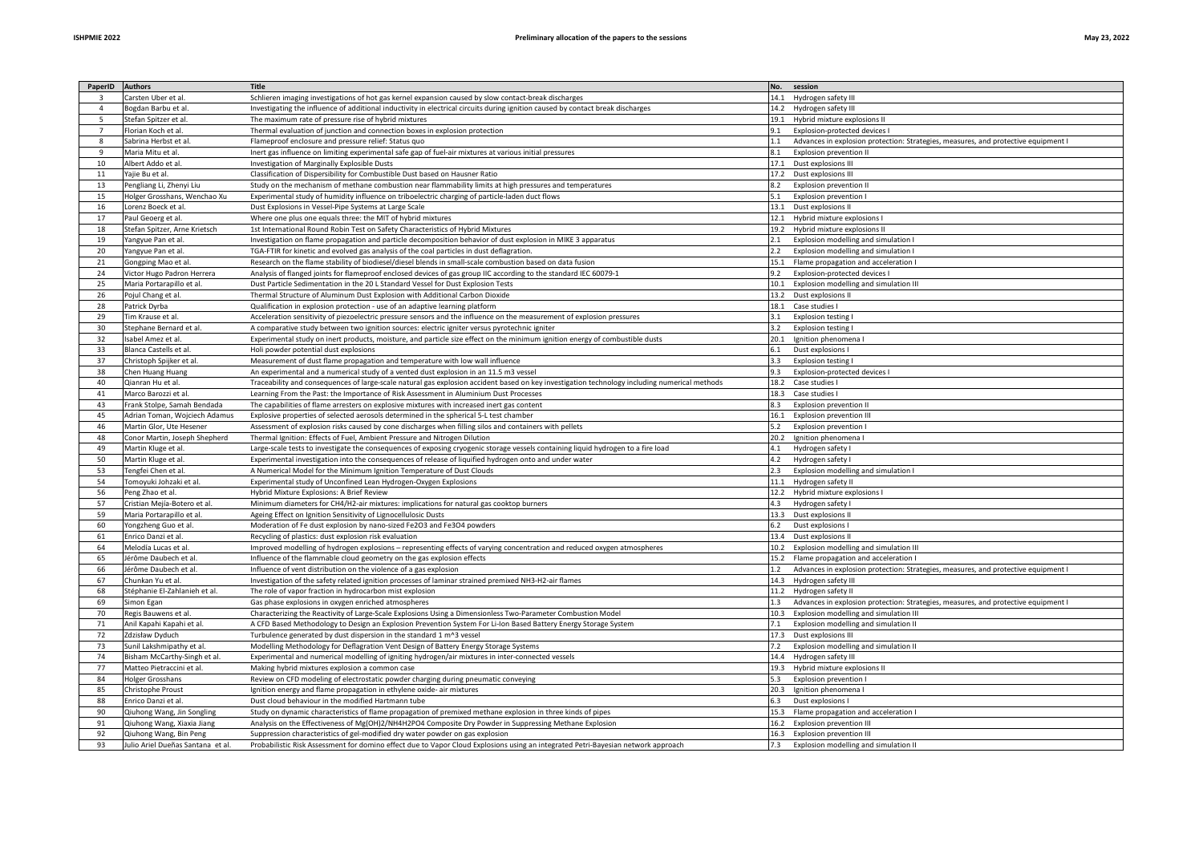| PaperID | <b>Authors</b>                    | <b>Title</b>                                                                                                                                  | No. session                                                                            |
|---------|-----------------------------------|-----------------------------------------------------------------------------------------------------------------------------------------------|----------------------------------------------------------------------------------------|
|         | Carsten Uber et al.               | Schlieren imaging investigations of hot gas kernel expansion caused by slow contact-break discharges                                          | 14.1 Hydrogen safety III                                                               |
|         | Bogdan Barbu et al.               | Investigating the influence of additional inductivity in electrical circuits during ignition caused by contact break discharges               | 14.2 Hydrogen safety III                                                               |
|         | Stefan Spitzer et al.             | The maximum rate of pressure rise of hybrid mixtures                                                                                          | 19.1 Hybrid mixture explosions II                                                      |
|         | Florian Koch et al.               | Thermal evaluation of junction and connection boxes in explosion protection                                                                   | 9.1<br>Explosion-protected devices I                                                   |
|         | Sabrina Herbst et al              | Flameproof enclosure and pressure relief: Status quo                                                                                          | Advances in explosion protection: Strategies, measures, and protective equipment I     |
| - q     | Maria Mitu et al.                 | Inert gas influence on limiting experimental safe gap of fuel-air mixtures at various initial pressures                                       | 8.1<br>Explosion prevention II                                                         |
| 10      | Albert Addo et al.                | Investigation of Marginally Explosible Dusts                                                                                                  | 17.1 Dust explosions III                                                               |
| 11      | Yajie Bu et al.                   | Classification of Dispersibility for Combustible Dust based on Hausner Ratio                                                                  | 17.2 Dust explosions III                                                               |
| 13      | Pengliang Li, Zhenyi Liu          | Study on the mechanism of methane combustion near flammability limits at high pressures and temperatures                                      | 8.2 Explosion prevention II                                                            |
| 15      | Holger Grosshans, Wenchao Xu      | Experimental study of humidity influence on triboelectric charging of particle-laden duct flows                                               | <b>Explosion prevention I</b>                                                          |
| 16      | Lorenz Boeck et al.               | Dust Explosions in Vessel-Pipe Systems at Large Scale                                                                                         | 13.1 Dust explosions II                                                                |
| 17      | Paul Geoerg et al.                | Where one plus one equals three: the MIT of hybrid mixtures                                                                                   | 12.1 Hybrid mixture explosions                                                         |
| 18      | Stefan Spitzer, Arne Krietsch     | 1st International Round Robin Test on Safety Characteristics of Hybrid Mixtures                                                               | 19.2 Hybrid mixture explosions II                                                      |
| 19      | Yangyue Pan et al.                | Investigation on flame propagation and particle decomposition behavior of dust explosion in MIKE 3 apparatus                                  | Explosion modelling and simulation I                                                   |
| 20      | Yangyue Pan et al.                | TGA-FTIR for kinetic and evolved gas analysis of the coal particles in dust deflagration.                                                     | 2.2 Explosion modelling and simulation I                                               |
| 21      | Gongping Mao et al                | Research on the flame stability of biodiesel/diesel blends in small-scale combustion based on data fusion                                     | 15.1 Flame propagation and acceleration I                                              |
| 24      | Victor Hugo Padron Herrera        | Analysis of flanged joints for flameproof enclosed devices of gas group IIC according to the standard IEC 60079-1                             | 9.2 Explosion-protected devices I                                                      |
| 25      | Maria Portarapillo et al.         | Dust Particle Sedimentation in the 20 L Standard Vessel for Dust Explosion Tests                                                              | 10.1 Explosion modelling and simulation III                                            |
| 26      | Pojul Chang et al.                | Thermal Structure of Aluminum Dust Explosion with Additional Carbon Dioxide                                                                   | 13.2 Dust explosions II                                                                |
| 28      | Patrick Dyrba                     | Qualification in explosion protection - use of an adaptive learning platform                                                                  | 18.1 Case studies I                                                                    |
| 29      | <b>Tim Krause et al.</b>          | Acceleration sensitivity of piezoelectric pressure sensors and the influence on the measurement of explosion pressures                        | <b>Explosion testing I</b><br>3.1                                                      |
|         |                                   |                                                                                                                                               |                                                                                        |
| 30      | Stephane Bernard et al.           | A comparative study between two ignition sources: electric igniter versus pyrotechnic igniter                                                 | <b>Explosion testing I</b>                                                             |
| 32      | Isabel Amez et al.                | Experimental study on inert products, moisture, and particle size effect on the minimum ignition energy of combustible dusts                  | 20.1 Ignition phenomena I                                                              |
| -33     | Blanca Castells et al             | Holi powder potential dust explosions                                                                                                         | Dust explosions I<br>6.1                                                               |
| 37      | Christoph Spijker et al.          | Measurement of dust flame propagation and temperature with low wall influence                                                                 | 3.3<br><b>Explosion testing I</b>                                                      |
| 38      | Chen Huang Huang                  | An experimental and a numerical study of a vented dust explosion in an 11.5 m3 vessel                                                         | Explosion-protected devices I                                                          |
| 40      | Qianran Hu et al.                 | Traceability and consequences of large-scale natural gas explosion accident based on key investigation technology including numerical methods | 18.2 Case studies I                                                                    |
| 41      | Marco Barozzi et al.              | Learning From the Past: the Importance of Risk Assessment in Aluminium Dust Processes                                                         | 18.3 Case studies I                                                                    |
| 43      | Frank Stolpe, Samah Bendada       | The capabilities of flame arresters on explosive mixtures with increased inert gas content                                                    | <b>Explosion prevention II</b>                                                         |
| 45      | Adrian Toman, Wojciech Adamus     | Explosive properties of selected aerosols determined in the spherical 5-L test chamber                                                        | 16.1 Explosion prevention III                                                          |
| 46      | Martin Glor, Ute Hesener          | Assessment of explosion risks caused by cone discharges when filling silos and containers with pellets                                        | 5.2<br><b>Explosion prevention I</b>                                                   |
| 48      | Conor Martin, Joseph Shepherd     | Thermal Ignition: Effects of Fuel, Ambient Pressure and Nitrogen Dilution                                                                     | 20.2 Ignition phenomena I                                                              |
| 49      | Martin Kluge et al.               | Large-scale tests to investigate the consequences of exposing cryogenic storage vessels containing liquid hydrogen to a fire load             | Hydrogen safety I                                                                      |
| 50      | Martin Kluge et al.               | Experimental investigation into the consequences of release of liquified hydrogen onto and under water                                        | Hydrogen safety I                                                                      |
| 53      | Tengfei Chen et al.               | A Numerical Model for the Minimum Ignition Temperature of Dust Clouds                                                                         | Explosion modelling and simulation I                                                   |
| 54      | Tomoyuki Johzaki et al.           | Experimental study of Unconfined Lean Hydrogen-Oxygen Explosions                                                                              | 11.1 Hydrogen safety II                                                                |
| 56      | Peng Zhao et al.                  | Hybrid Mixture Explosions: A Brief Review                                                                                                     | 12.2 Hybrid mixture explosions                                                         |
| 57      | Cristian Mejía-Botero et al.      | Minimum diameters for CH4/H2-air mixtures: implications for natural gas cooktop burners                                                       | 4.3 Hydrogen safety I                                                                  |
| 59      | Maria Portarapillo et al.         | Ageing Effect on Ignition Sensitivity of Lignocellulosic Dusts                                                                                | 13.3 Dust explosions II                                                                |
| 60      | Yongzheng Guo et al.              | Moderation of Fe dust explosion by nano-sized Fe2O3 and Fe3O4 powders                                                                         | 6.2 Dust explosions I                                                                  |
| 61      | Enrico Danzi et al.               | Recycling of plastics: dust explosion risk evaluation                                                                                         | 13.4 Dust explosions II                                                                |
| 64      | Melodía Lucas et al.              | Improved modelling of hydrogen explosions - representing effects of varying concentration and reduced oxygen atmospheres                      | 10.2 Explosion modelling and simulation III                                            |
| 65      | Jérôme Daubech et al.             | Influence of the flammable cloud geometry on the gas explosion effects                                                                        | 15.2 Flame propagation and acceleration I                                              |
| 66      | Jérôme Daubech et al.             | Influence of vent distribution on the violence of a gas explosion                                                                             | 1.2 Advances in explosion protection: Strategies, measures, and protective equipment I |
| 67      | Chunkan Yu et al.                 | Investigation of the safety related ignition processes of laminar strained premixed NH3-H2-air flames                                         | 14.3 Hydrogen safety III                                                               |
| 68      | Stéphanie El-Zahlanieh et al.     | The role of vapor fraction in hydrocarbon mist explosion                                                                                      | 11.2 Hydrogen safety II                                                                |
| 69      | Simon Egan                        | Gas phase explosions in oxygen enriched atmospheres                                                                                           | Advances in explosion protection: Strategies, measures, and protective equipment I     |
| 70      | Regis Bauwens et al.              | Characterizing the Reactivity of Large-Scale Explosions Using a Dimensionless Two-Parameter Combustion Model                                  | 10.3 Explosion modelling and simulation III                                            |
| -71     | Anil Kapahi Kapahi et al.         | A CFD Based Methodology to Design an Explosion Prevention System For Li-Ion Based Battery Energy Storage System                               | Explosion modelling and simulation II                                                  |
| 72      | Zdzisław Dyduch                   | Turbulence generated by dust dispersion in the standard 1 m^3 vessel                                                                          | 17.3 Dust explosions III                                                               |
| 73      | Sunil Lakshmipathy et al.         | Modelling Methodology for Deflagration Vent Design of Battery Energy Storage Systems                                                          | Explosion modelling and simulation II                                                  |
| 74      | Bisham McCarthy-Singh et al.      | Experimental and numerical modelling of igniting hydrogen/air mixtures in inter-connected vessels                                             | 14.4 Hydrogen safety III                                                               |
| 77      | Matteo Pietraccini et al.         | Making hybrid mixtures explosion a common case                                                                                                | 19.3 Hybrid mixture explosions II                                                      |
| 84      | Holger Grosshans                  | Review on CFD modeling of electrostatic powder charging during pneumatic conveying                                                            | <b>Explosion prevention I</b><br>5.3                                                   |
| 85      | Christophe Proust                 | Ignition energy and flame propagation in ethylene oxide- air mixtures                                                                         | 20.3 Ignition phenomena                                                                |
| 88      | Enrico Danzi et al.               | Dust cloud behaviour in the modified Hartmann tube                                                                                            | Dust explosions I                                                                      |
| 90      | Qiuhong Wang, Jin Songling        | Study on dynamic characteristics of flame propagation of premixed methane explosion in three kinds of pipes                                   | 15.3 Flame propagation and acceleration I                                              |
| 91      | Qiuhong Wang, Xiaxia Jiang        | Analysis on the Effectiveness of Mg(OH)2/NH4H2PO4 Composite Dry Powder in Suppressing Methane Explosion                                       | 16.2 Explosion prevention III                                                          |
| 92      | Qiuhong Wang, Bin Peng            | Suppression characteristics of gel-modified dry water powder on gas explosion                                                                 | 16.3 Explosion prevention III                                                          |
| 93      | Julio Ariel Dueñas Santana et al. | Probabilistic Risk Assessment for domino effect due to Vapor Cloud Explosions using an integrated Petri-Bayesian network approach             | 7.3 Explosion modelling and simulation II                                              |
|         |                                   |                                                                                                                                               |                                                                                        |